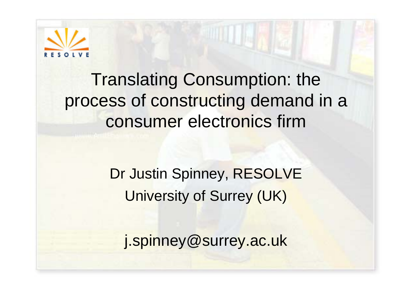

#### Translating Consumption: the process of constructing demand in a consumer electronics firm

Dr Justin Spinney, RESOLVE University of Surrey (UK)

j.spinney@surrey.ac.uk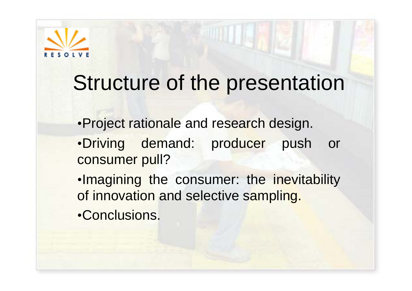

### Structure of the presentation

- •Project rationale and research design. •Driving demand: producer push or consumer pull?
- •Imagining the consumer: the inevitability of innovation and selective sampling.
- •Conclusions.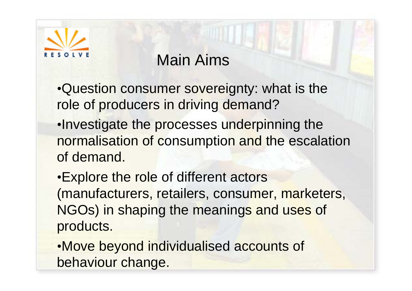

#### Main Aims

•Question consumer sovereignty: what is the role of producers in driving demand?

•Investigate the processes underpinning the normalisation of consumption and the escalation of demand.

•Explore the role of different actors (manufacturers, retailers, consumer, marketers, NGOs) in shaping the meanings and uses of products.

•Move beyond individualised accounts of behaviour change.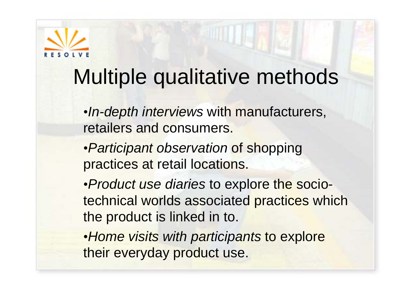

# Multiple qualitative methods

- •*In-depth interviews* with manufacturers, retailers and consumers.
- •*Participant observation* of shopping practices at retail locations.
- •*Product use diaries* to explore the sociotechnical worlds associated practices which the product is linked in to.
- •*Home visits with participants* to explore their everyday product use.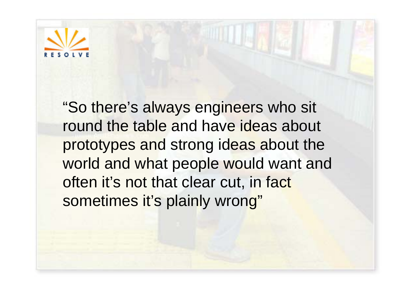

"So there's always engineers who sit round the table and have ideas about prototypes and strong ideas about the world and what people would want and often it's not that clear cut, in fact sometimes it's plainly wrong"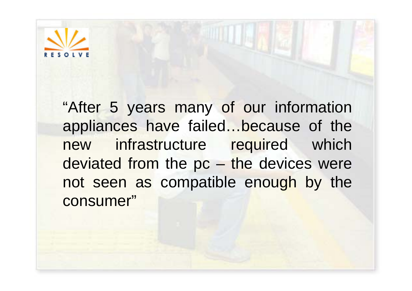

"After 5 years many of our information appliances have failed…because of the new infrastructure required which deviated from the pc – the devices were not seen as compatible enough by the consumer"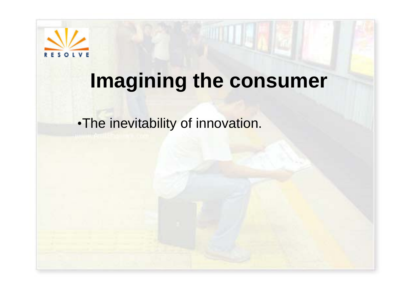

•The inevitability of innovation.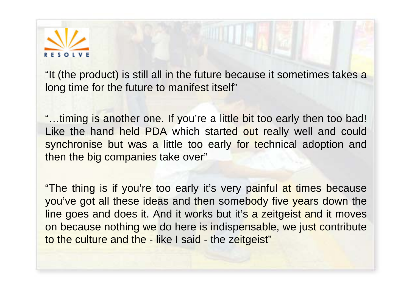

"It (the product) is still all in the future because it sometimes takes a long time for the future to manifest itself"

"…timing is another one. If you're a little bit too early then too bad! Like the hand held PDA which started out really well and could synchronise but was a little too early for technical adoption and then the big companies take over"

"The thing is if you're too early it's very painful at times because you've got all these ideas and then somebody five years down the line goes and does it. And it works but it's a zeitgeist and it moves on because nothing we do here is indispensable, we just contribute to the culture and the - like I said - the zeitgeist"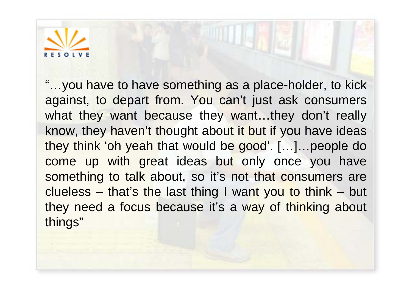

"…you have to have something as a place-holder, to kick against, to depart from. You can't just ask consumers what they want because they want...they don't really know, they haven't thought about it but if you have ideas they think 'oh yeah that would be good'. […]…people do come up with great ideas but only once you have something to talk about, so it's not that consumers are clueless – that's the last thing I want you to think – but they need a focus because it's a way of thinking about things"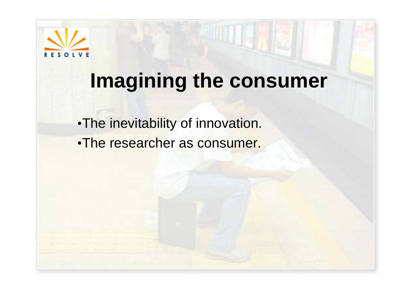

•The inevitability of innovation. •The researcher as consumer.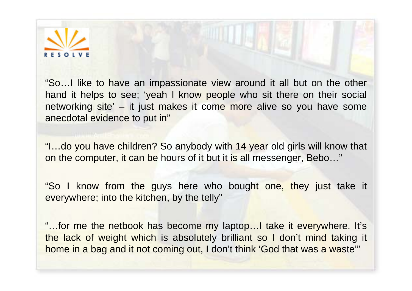

"So…I like to have an impassionate view around it all but on the other hand it helps to see; 'yeah I know people who sit there on their social networking site' – it just makes it come more alive so you have some anecdotal evidence to put in"

"I…do you have children? So anybody with 14 year old girls will know that on the computer, it can be hours of it but it is all messenger, Bebo…"

"So I know from the guys here who bought one, they just take it everywhere; into the kitchen, by the telly"

"…for me the netbook has become my laptop…I take it everywhere. It's the lack of weight which is absolutely brilliant so I don't mind taking it home in a bag and it not coming out, I don't think 'God that was a waste'"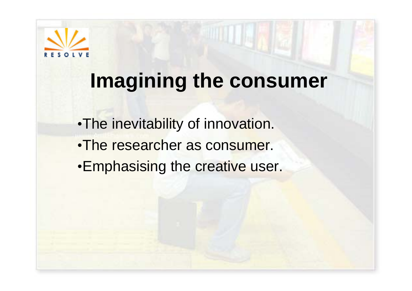

•The inevitability of innovation. •The researcher as consumer. •Emphasising the creative user.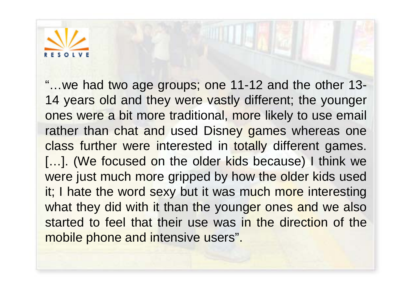

"…we had two age groups; one 11-12 and the other 13- 14 years old and they were vastly different; the younger ones were a bit more traditional, more likely to use email rather than chat and used Disney games whereas one class further were interested in totally different games. [...]. (We focused on the older kids because) I think we were just much more gripped by how the older kids used it; I hate the word sexy but it was much more interesting what they did with it than the younger ones and we also started to feel that their use was in the direction of the mobile phone and intensive users".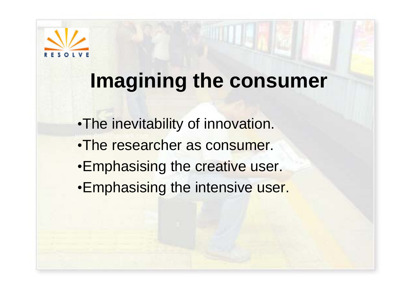

- •The inevitability of innovation.
- •The researcher as consumer.
- •Emphasising the creative user.
- •Emphasising the intensive user.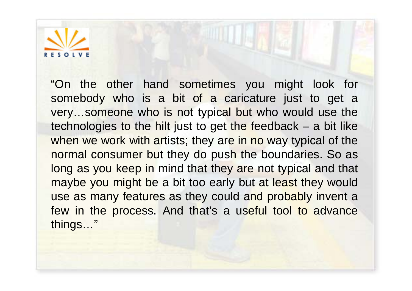

"On the other hand sometimes you might look for somebody who is a bit of a caricature just to get a very…someone who is not typical but who would use the technologies to the hilt just to get the feedback – a bit like when we work with artists; they are in no way typical of the normal consumer but they do push the boundaries. So as long as you keep in mind that they are not typical and that maybe you might be a bit too early but at least they would use as many features as they could and probably invent a few in the process. And that's a useful tool to advance things…"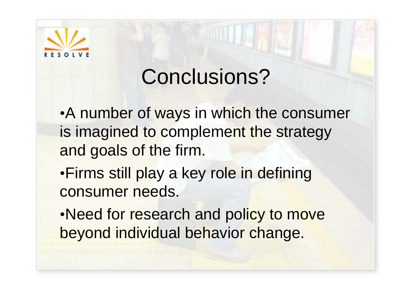

# Conclusions?

•A number of ways in which the consumer is imagined to complement the strategy and goals of the firm.

•Firms still play a key role in defining consumer needs.

•Need for research and policy to move beyond individual behavior change.